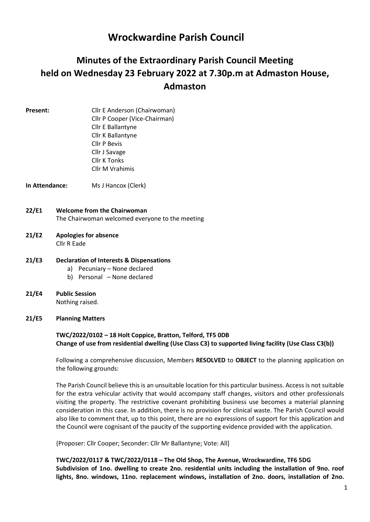# Wrockwardine Parish Council

# Minutes of the Extraordinary Parish Council Meeting held on Wednesday 23 February 2022 at 7.30p.m at Admaston House, Admaston

- 
- Present: Cllr E Anderson (Chairwoman) Cllr P Cooper (Vice-Chairman) Cllr E Ballantyne Cllr K Ballantyne Cllr P Bevis Cllr J Savage Cllr K Tonks Cllr M Vrahimis

In Attendance: Ms J Hancox (Clerk)

- 22/E1 Welcome from the Chairwoman The Chairwoman welcomed everyone to the meeting
- 21/E2 Apologies for absence Cllr R Eade
- 21/E3 Declaration of Interests & Dispensations
	- a) Pecuniary None declared
		- b) Personal None declared
- 21/E4 Public Session Nothing raised.

#### 21/E5 Planning Matters

## TWC/2022/0102 – 18 Holt Coppice, Bratton, Telford, TF5 0DB Change of use from residential dwelling (Use Class C3) to supported living facility (Use Class C3(b))

Following a comprehensive discussion, Members RESOLVED to OBJECT to the planning application on the following grounds:

The Parish Council believe this is an unsuitable location for this particular business. Access is not suitable for the extra vehicular activity that would accompany staff changes, visitors and other professionals visiting the property. The restrictive covenant prohibiting business use becomes a material planning consideration in this case. In addition, there is no provision for clinical waste. The Parish Council would also like to comment that, up to this point, there are no expressions of support for this application and the Council were cognisant of the paucity of the supporting evidence provided with the application.

{Proposer: Cllr Cooper; Seconder: Cllr Mr Ballantyne; Vote: All]

TWC/2022/0117 & TWC/2022/0118 – The Old Shop, The Avenue, Wrockwardine, TF6 5DG Subdivision of 1no. dwelling to create 2no. residential units including the installation of 9no. roof lights, 8no. windows, 11no. replacement windows, installation of 2no. doors, installation of 2no.